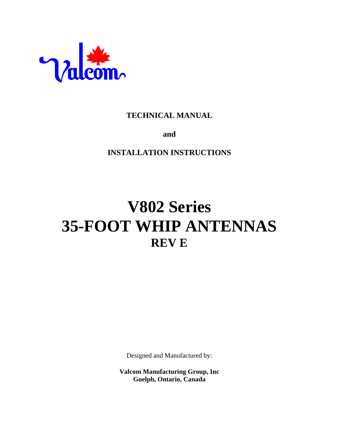

# **TECHNICAL MANUAL**

**and**

**INSTALLATION INSTRUCTIONS**

# **V802 Series 35-FOOT WHIP ANTENNAS REV E**

Designed and Manufactured by:

**Valcom Manufacturing Group, Inc Guelph, Ontario, Canada**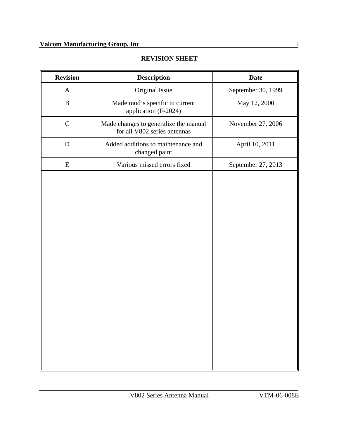#### **REVISION SHEET**

| <b>Revision</b> | <b>Description</b>                                                    | <b>Date</b>        |  |  |
|-----------------|-----------------------------------------------------------------------|--------------------|--|--|
| $\mathbf{A}$    | Original Issue                                                        | September 30, 1999 |  |  |
| $\, {\bf B}$    | Made mod's specific to current<br>application (F-2024)                | May 12, 2000       |  |  |
| $\mathbf C$     | Made changes to generalize the manual<br>for all V802 series antennas | November 27, 2006  |  |  |
| $\mathbf D$     | Added additions to maintenance and<br>changed paint                   | April 10, 2011     |  |  |
| E               | Various missed errors fixed                                           | September 27, 2013 |  |  |
|                 |                                                                       |                    |  |  |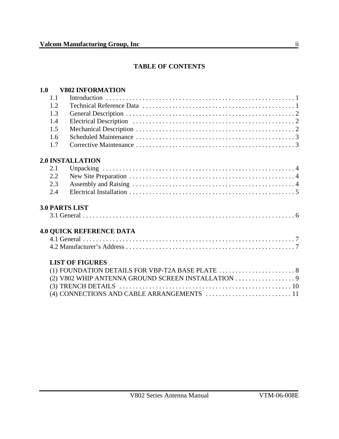## **TABLE OF CONTENTS**

### **1.0 V802 INFORMATION**

| 1.1 |                                                                                                  |
|-----|--------------------------------------------------------------------------------------------------|
| 1.2 |                                                                                                  |
| 1.3 |                                                                                                  |
| 1.4 |                                                                                                  |
| 1.5 |                                                                                                  |
| 1.6 |                                                                                                  |
| 1.7 |                                                                                                  |
|     | <b>2.0 INSTALLATION</b>                                                                          |
| 2.1 |                                                                                                  |
| 2.2 |                                                                                                  |
| 2.3 |                                                                                                  |
| 2.4 |                                                                                                  |
|     | <b>3.0 PARTS LIST</b>                                                                            |
|     |                                                                                                  |
|     | <b>4.0 QUICK REFERENCE DATA</b>                                                                  |
|     |                                                                                                  |
|     |                                                                                                  |
|     | <b>LIST OF FIGURES</b>                                                                           |
|     | (1) FOUNDATION DETAILS FOR VBP-T2A BASE PLATE $\ldots \ldots \ldots \ldots \ldots \ldots \ldots$ |
|     |                                                                                                  |
|     |                                                                                                  |
|     |                                                                                                  |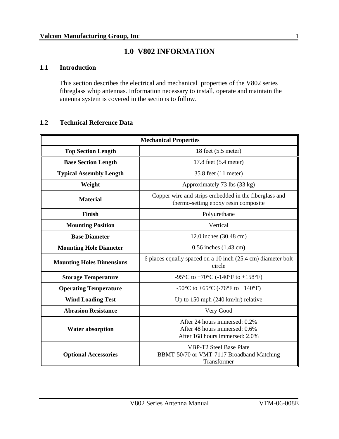# **1.0 V802 INFORMATION**

#### **1.1 Introduction**

This section describes the electrical and mechanical properties of the V802 series fibreglass whip antennas. Information necessary to install, operate and maintain the antenna system is covered in the sections to follow.

#### **1.2 Technical Reference Data**

| <b>Mechanical Properties</b>     |                                                                                                  |  |  |
|----------------------------------|--------------------------------------------------------------------------------------------------|--|--|
| <b>Top Section Length</b>        | 18 feet (5.5 meter)                                                                              |  |  |
| <b>Base Section Length</b>       | 17.8 feet (5.4 meter)                                                                            |  |  |
| <b>Typical Assembly Length</b>   | 35.8 feet (11 meter)                                                                             |  |  |
| Weight                           | Approximately 73 lbs (33 kg)                                                                     |  |  |
| <b>Material</b>                  | Copper wire and strips embedded in the fiberglass and<br>thermo-setting epoxy resin composite    |  |  |
| Finish                           | Polyurethane                                                                                     |  |  |
| <b>Mounting Position</b>         | Vertical                                                                                         |  |  |
| <b>Base Diameter</b>             | 12.0 inches (30.48 cm)                                                                           |  |  |
| <b>Mounting Hole Diameter</b>    | 0.56 inches (1.43 cm)                                                                            |  |  |
| <b>Mounting Holes Dimensions</b> | 6 places equally spaced on a 10 inch (25.4 cm) diameter bolt<br>circle                           |  |  |
| <b>Storage Temperature</b>       | -95°C to +70°C (-140°F to +158°F)                                                                |  |  |
| <b>Operating Temperature</b>     | -50°C to +65°C (-76°F to +140°F)                                                                 |  |  |
| <b>Wind Loading Test</b>         | Up to $150$ mph $(240 \text{ km/hr})$ relative                                                   |  |  |
| <b>Abrasion Resistance</b>       | Very Good                                                                                        |  |  |
| <b>Water absorption</b>          | After 24 hours immersed: 0.2%<br>After 48 hours immersed: 0.6%<br>After 168 hours immersed: 2.0% |  |  |
| <b>Optional Accessories</b>      | <b>VBP-T2 Steel Base Plate</b><br>BBMT-50/70 or VMT-7117 Broadband Matching<br>Transformer       |  |  |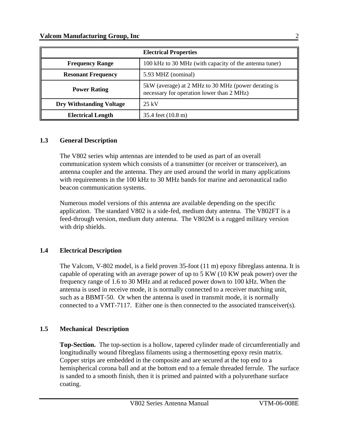| <b>Electrical Properties</b>    |                                                                                                  |  |  |
|---------------------------------|--------------------------------------------------------------------------------------------------|--|--|
| <b>Frequency Range</b>          | 100 kHz to 30 MHz (with capacity of the antenna tuner)                                           |  |  |
| <b>Resonant Frequency</b>       | 5.93 MHZ (nominal)                                                                               |  |  |
| <b>Power Rating</b>             | 5kW (average) at 2 MHz to 30 MHz (power derating is<br>necessary for operation lower than 2 MHz) |  |  |
| <b>Dry Withstanding Voltage</b> | $25 \text{ kV}$                                                                                  |  |  |
| <b>Electrical Length</b>        | 35.4 feet (10.8 m)                                                                               |  |  |

#### **1.3 General Description**

The V802 series whip antennas are intended to be used as part of an overall communication system which consists of a transmitter (or receiver or transceiver), an antenna coupler and the antenna. They are used around the world in many applications with requirements in the 100 kHz to 30 MHz bands for marine and aeronautical radio beacon communication systems.

Numerous model versions of this antenna are available depending on the specific application. The standard V802 is a side-fed, medium duty antenna. The V802FT is a feed-through version, medium duty antenna. The V802M is a rugged military version with drip shields.

#### **1.4 Electrical Description**

The Valcom, V-802 model, is a field proven 35-foot (11 m) epoxy fibreglass antenna. It is capable of operating with an average power of up to 5 KW (10 KW peak power) over the frequency range of 1.6 to 30 MHz and at reduced power down to 100 kHz. When the antenna is used in receive mode, it is normally connected to a receiver matching unit, such as a BBMT-50. Or when the antenna is used in transmit mode, it is normally connected to a VMT-7117. Either one is then connected to the associated transceiver(s).

#### **1.5 Mechanical Description**

**Top-Section.** The top-section is a hollow, tapered cylinder made of circumferentially and longitudinally wound fibreglass filaments using a thermosetting epoxy resin matrix. Copper strips are embedded in the composite and are secured at the top end to a hemispherical corona ball and at the bottom end to a female threaded ferrule. The surface is sanded to a smooth finish, then it is primed and painted with a polyurethane surface coating.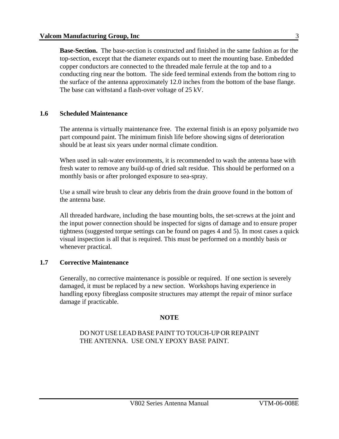**Base-Section.** The base-section is constructed and finished in the same fashion as for the top-section, except that the diameter expands out to meet the mounting base. Embedded copper conductors are connected to the threaded male ferrule at the top and to a conducting ring near the bottom. The side feed terminal extends from the bottom ring to the surface of the antenna approximately 12.0 inches from the bottom of the base flange. The base can withstand a flash-over voltage of 25 kV.

#### **1.6 Scheduled Maintenance**

The antenna is virtually maintenance free. The external finish is an epoxy polyamide two part compound paint. The minimum finish life before showing signs of deterioration should be at least six years under normal climate condition.

When used in salt-water environments, it is recommended to wash the antenna base with fresh water to remove any build-up of dried salt residue. This should be performed on a monthly basis or after prolonged exposure to sea-spray.

Use a small wire brush to clear any debris from the drain groove found in the bottom of the antenna base.

All threaded hardware, including the base mounting bolts, the set-screws at the joint and the input power connection should be inspected for signs of damage and to ensure proper tightness (suggested torque settings can be found on pages 4 and 5). In most cases a quick visual inspection is all that is required. This must be performed on a monthly basis or whenever practical.

#### **1.7 Corrective Maintenance**

Generally, no corrective maintenance is possible or required. If one section is severely damaged, it must be replaced by a new section. Workshops having experience in handling epoxy fibreglass composite structures may attempt the repair of minor surface damage if practicable.

#### **NOTE**

DO NOT USE LEAD BASE PAINT TO TOUCH-UP OR REPAINT THE ANTENNA. USE ONLY EPOXY BASE PAINT.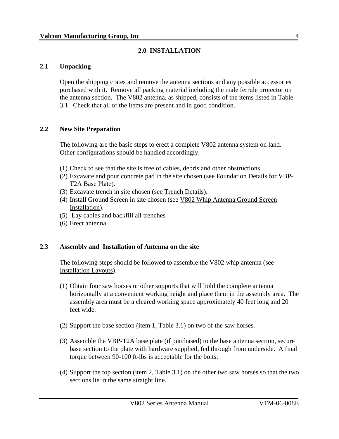#### **2.0 INSTALLATION**

#### **2.1 Unpacking**

Open the shipping crates and remove the antenna sections and any possible accessories purchased with it. Remove all packing material including the male ferrule protector on the antenna section. The V802 antenna, as shipped, consists of the items listed in Table 3.1. Check that all of the items are present and in good condition.

#### **2.2 New Site Preparation**

The following are the basic steps to erect a complete V802 antenna system on land. Other configurations should be handled accordingly.

- (1) Check to see that the site is free of cables, debris and other obstructions.
- (2) Excavate and pour concrete pad in the site chosen (see Foundation Details for VBP-T2A Base Plate).
- (3) Excavate trench in site chosen (see Trench Details).
- (4) Install Ground Screen in site chosen (see V802 Whip Antenna Ground Screen Installation).
- (5) Lay cables and backfill all trenches
- (6) Erect antenna

#### **2.3 Assembly and Installation of Antenna on the site**

The following steps should be followed to assemble the V802 whip antenna (see Installation Layouts).

- (1) Obtain four saw horses or other supports that will hold the complete antenna horizontally at a convenient working height and place them in the assembly area. The assembly area must be a cleared working space approximately 40 feet long and 20 feet wide.
- (2) Support the base section (item 1, Table 3.1) on two of the saw horses.
- (3) Assemble the VBP-T2A base plate (if purchased) to the base antenna section, secure base section to the plate with hardware supplied, fed through from underside. A final torque between 90-100 ft-lbs is acceptable for the bolts.
- (4) Support the top section (item 2, Table 3.1) on the other two saw horses so that the two sections lie in the same straight line.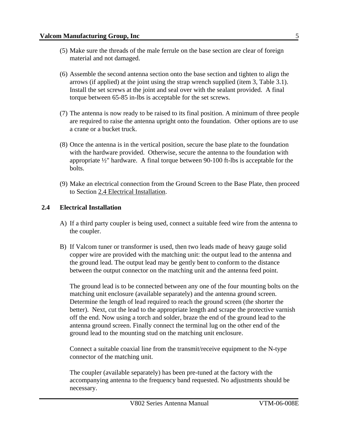- (5) Make sure the threads of the male ferrule on the base section are clear of foreign material and not damaged.
- (6) Assemble the second antenna section onto the base section and tighten to align the arrows (if applied) at the joint using the strap wrench supplied (item 3, Table 3.1). Install the set screws at the joint and seal over with the sealant provided. A final torque between 65-85 in-lbs is acceptable for the set screws.
- (7) The antenna is now ready to be raised to its final position. A minimum of three people are required to raise the antenna upright onto the foundation. Other options are to use a crane or a bucket truck.
- (8) Once the antenna is in the vertical position, secure the base plate to the foundation with the hardware provided. Otherwise, secure the antenna to the foundation with appropriate ½" hardware. A final torque between 90-100 ft-lbs is acceptable for the bolts.
- (9) Make an electrical connection from the Ground Screen to the Base Plate, then proceed to Section 2.4 Electrical Installation.

#### **2.4 Electrical Installation**

- A) If a third party coupler is being used, connect a suitable feed wire from the antenna to the coupler.
- B) If Valcom tuner or transformer is used, then two leads made of heavy gauge solid copper wire are provided with the matching unit: the output lead to the antenna and the ground lead. The output lead may be gently bent to conform to the distance between the output connector on the matching unit and the antenna feed point.

The ground lead is to be connected between any one of the four mounting bolts on the matching unit enclosure (available separately) and the antenna ground screen. Determine the length of lead required to reach the ground screen (the shorter the better). Next, cut the lead to the appropriate length and scrape the protective varnish off the end. Now using a torch and solder, braze the end of the ground lead to the antenna ground screen. Finally connect the terminal lug on the other end of the ground lead to the mounting stud on the matching unit enclosure.

Connect a suitable coaxial line from the transmit/receive equipment to the N-type connector of the matching unit.

The coupler (available separately) has been pre-tuned at the factory with the accompanying antenna to the frequency band requested. No adjustments should be necessary.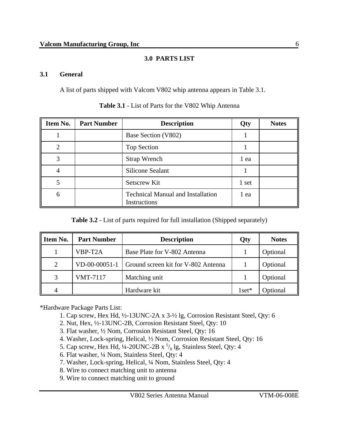### **3.0 PARTS LIST**

#### **3.1 General**

A list of parts shipped with Valcom V802 whip antenna appears in Table 3.1.

| Item No. | <b>Part Number</b> | <b>Description</b>                                       | Qty   | <b>Notes</b> |
|----------|--------------------|----------------------------------------------------------|-------|--------------|
|          |                    | Base Section (V802)                                      |       |              |
| റ        |                    | Top Section                                              |       |              |
| ⌒        |                    | <b>Strap Wrench</b>                                      | 1 ea  |              |
| 4        |                    | <b>Silicone Sealant</b>                                  |       |              |
|          |                    | <b>Setscrew Kit</b>                                      | 1 set |              |
| 6        |                    | <b>Technical Manual and Installation</b><br>Instructions | 1 ea  |              |

**Table 3.1** - List of Parts for the V802 Whip Antenna

| Item No. | <b>Part Number</b> | <b>Description</b>                  | Qty         | <b>Notes</b> |
|----------|--------------------|-------------------------------------|-------------|--------------|
|          | VBP-T2A            | Base Plate for V-802 Antenna        |             | Optional     |
| 2        | $VD-00-00051-1$    | Ground screen kit for V-802 Antenna |             | Optional     |
| 3        | <b>VMT-7117</b>    | Matching unit                       |             | Optional     |
| 4        |                    | Hardware kit                        | $1$ set $*$ | Optional     |

\*Hardware Package Parts List:

- 1. Cap screw, Hex Hd, ½-13UNC-2A x 3-½ lg, Corrosion Resistant Steel, Qty: 6
- 2. Nut, Hex, ½-13UNC-2B, Corrosion Resistant Steel, Qty: 10
- 3. Flat washer, ½ Nom, Corrosion Resistant Steel, Qty: 16
- 4. Washer, Lock-spring, Helical, ½ Nom, Corrosion Resistant Steel, Qty: 16
- 5. Cap screw, Hex Hd,  $\frac{1}{4}$ -20UNC-2B x  $\frac{5}{8}$ lg, Stainless Steel, Qty: 4
- 6. Flat washer, ¼ Nom, Stainless Steel, Qty: 4
- 7. Washer, Lock-spring, Helical, ¼ Nom, Stainless Steel, Qty: 4
- 8. Wire to connect matching unit to antenna
- 9. Wire to connect matching unit to ground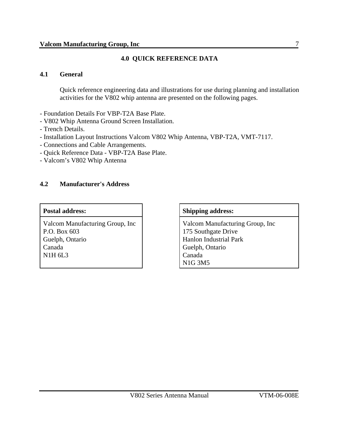#### **4.0 QUICK REFERENCE DATA**

#### **4.1 General**

Quick reference engineering data and illustrations for use during planning and installation activities for the V802 whip antenna are presented on the following pages.

- Foundation Details For VBP-T2A Base Plate.
- V802 Whip Antenna Ground Screen Installation.
- Trench Details.
- Installation Layout Instructions Valcom V802 Whip Antenna, VBP-T2A, VMT-7117.
- Connections and Cable Arrangements.
- Quick Reference Data VBP-T2A Base Plate.
- Valcom's V802 Whip Antenna

#### **4.2 Manufacturer's Address**

Valcom Manufacturing Group, Inc P.O. Box 603 Guelph, Ontario Canada N1H 6L3

#### Postal address:  $\qquad \qquad \qquad$  Shipping address:

Valcom Manufacturing Group, Inc 175 Southgate Drive Hanlon Industrial Park Guelph, Ontario Canada N1G 3M5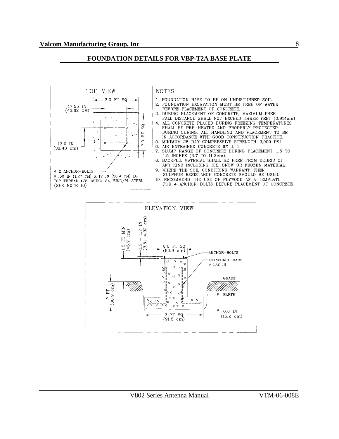#### **FOUNDATION DETAILS FOR VBP-T2A BASE PLATE**



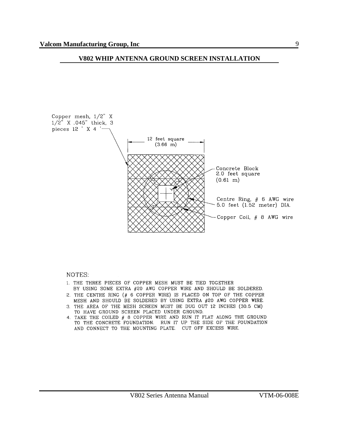#### **V802 WHIP ANTENNA GROUND SCREEN INSTALLATION**



#### NOTES:

- 1. THE THREE PIECES OF COPPER MESH MUST BE TIED TOGETHER BY USING SOME EXTRA #20 AWG COPPER WIRE AND SHOULD BE SOLDERED.
- 2. THE CENTRE RING (# 6 COPPER WIRE) IS PLACED ON TOP OF THE COPPER MESH AND SHOULD BE SOLDERED BY USING EXTRA #20 AWG COPPER WIRE.
- 3. THE AREA OF THE MESH SCREEN MUST BE DUG OUT 12 INCHES (30.5 CM) TO HAVE GROUND SCREEN PLACED UNDER GROUND.
- 4. TAKE THE COILED # 8 COPPER WIRE AND RUN IT FLAT ALONG THE GROUND TO THE CONCRETE FOUNDATION. RUN IT UP THE SIDE OF THE FOUNDATION AND CONNECT TO THE MOUNTING PLATE. CUT OFF EXCESS WIRE.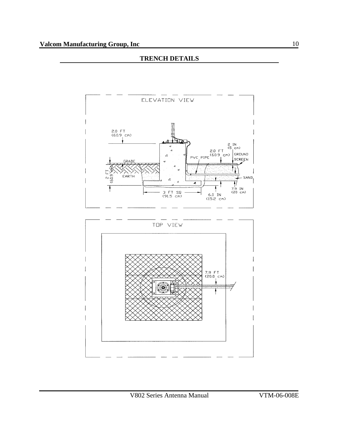#### **TRENCH DETAILS**

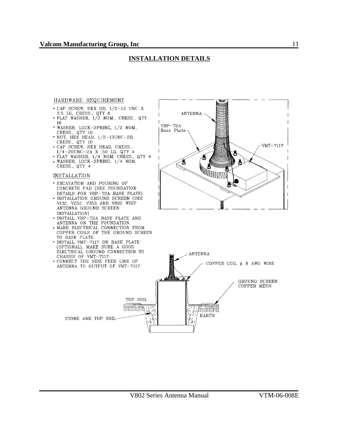#### **INSTALLATION DETAILS**

#### HARDWARE REQUIREMENT

- $\begin{array}{lll} \bullet \text{ CAP SCREW, HEX HD, } 1/2-13 \text{ UNC X} \\ \text{3.5 LG, CRESS., QTY 6} \\ \bullet \text{ FLAT WASHER, } 1/2 \text{ NOM.}, \text{ CRESS.}, QTY \end{array}$
- 16
- WASHER, LOCK-SPRING, 1/2 NOM.,<br>CRESS., QTY 10<br>• NUT, HEX HEAD, 1/2-13UNC-2B, CRESS., QTY 10
- CAP SCREW, HEX HEAD, CRESS.,<br>1/4-20UNC-2A X 50 LG, QTY 4<br>• FLAT WASHER, 1/4 NOM, CRESS., QTY 4
- 
- WASHER, LOCK-SPRING, 1/4 NOM, CRESS., QTY 4

#### **INSTALLATION**

- · EXCAVATION AND POURING OF CONCRETE PAD (SEE FOUNDATION DETAILS FOR VBP-T2A BASE PLATE)
- . INSTALLATION GROUND SCREEN (SEE V132, V252, V353 AND V802 WHIP ANTENNA GROUND SCREEN INSTALLATION)
- · INSTALL VBP-T2A BASE PLATE AND ANTENNA ON THE FOUNDATION.
- · MAKE ELECTRICAL CONNECTION FROM COPPER COILS OF THE GROUND SCREEN TO BASE PLATE.
- · INSTALL VMT-7117 ON BASE PLATE (OPTIONAL), MAKE SURE A GOOD ELECTRICAL GROUND CONNECTION TO CHASSIS OF VMT-7117.
- CONNECT THE SIDE FEED LINE OF ANTENNA TO OUTPUT OF VMT-7117.